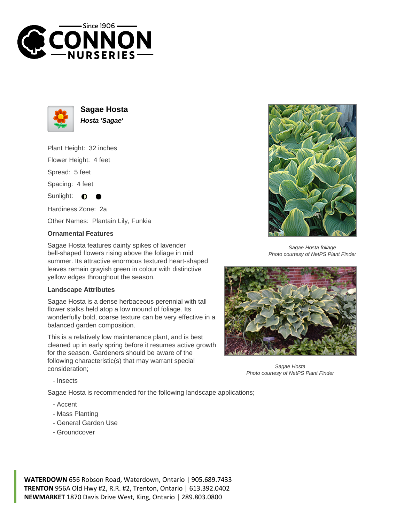



**Sagae Hosta Hosta 'Sagae'**

Plant Height: 32 inches

Flower Height: 4 feet

Spread: 5 feet

Spacing: 4 feet

Sunlight:  $\bullet$ 

Hardiness Zone: 2a

Other Names: Plantain Lily, Funkia

## **Ornamental Features**

Sagae Hosta features dainty spikes of lavender bell-shaped flowers rising above the foliage in mid summer. Its attractive enormous textured heart-shaped leaves remain grayish green in colour with distinctive yellow edges throughout the season.

## **Landscape Attributes**

Sagae Hosta is a dense herbaceous perennial with tall flower stalks held atop a low mound of foliage. Its wonderfully bold, coarse texture can be very effective in a balanced garden composition.

This is a relatively low maintenance plant, and is best cleaned up in early spring before it resumes active growth for the season. Gardeners should be aware of the following characteristic(s) that may warrant special consideration;



Sagae Hosta foliage Photo courtesy of NetPS Plant Finder



Sagae Hosta Photo courtesy of NetPS Plant Finder

- Insects

Sagae Hosta is recommended for the following landscape applications;

- Accent
- Mass Planting
- General Garden Use
- Groundcover

**WATERDOWN** 656 Robson Road, Waterdown, Ontario | 905.689.7433 **TRENTON** 956A Old Hwy #2, R.R. #2, Trenton, Ontario | 613.392.0402 **NEWMARKET** 1870 Davis Drive West, King, Ontario | 289.803.0800